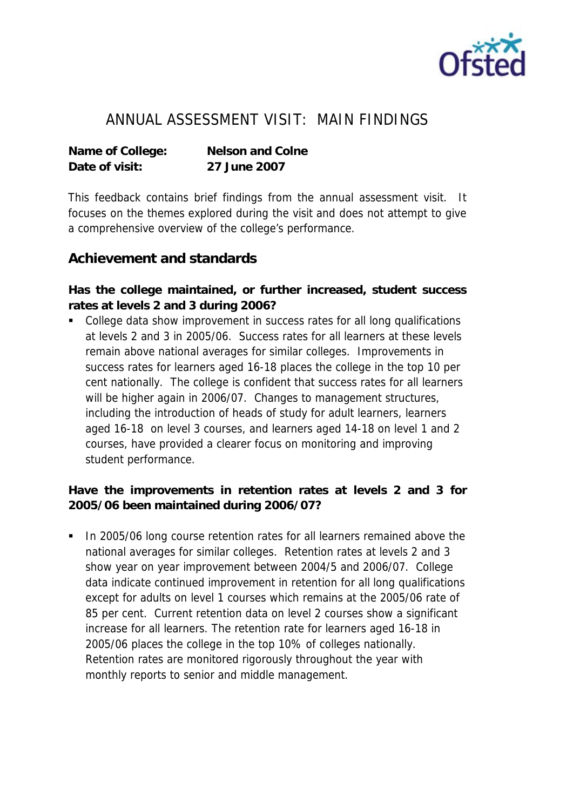

## ANNUAL ASSESSMENT VISIT: MAIN FINDINGS

**Name of College: Nelson and Colne Date of visit: 27 June 2007**

This feedback contains brief findings from the annual assessment visit. It focuses on the themes explored during the visit and does not attempt to give a comprehensive overview of the college's performance.

## **Achievement and standards**

**Has the college maintained, or further increased, student success rates at levels 2 and 3 during 2006?**

• College data show improvement in success rates for all long qualifications at levels 2 and 3 in 2005/06. Success rates for all learners at these levels remain above national averages for similar colleges. Improvements in success rates for learners aged 16-18 places the college in the top 10 per cent nationally. The college is confident that success rates for all learners will be higher again in 2006/07. Changes to management structures, including the introduction of heads of study for adult learners, learners aged 16-18 on level 3 courses, and learners aged 14-18 on level 1 and 2 courses, have provided a clearer focus on monitoring and improving student performance.

**Have the improvements in retention rates at levels 2 and 3 for 2005/06 been maintained during 2006/07?**

 In 2005/06 long course retention rates for all learners remained above the national averages for similar colleges. Retention rates at levels 2 and 3 show year on year improvement between 2004/5 and 2006/07. College data indicate continued improvement in retention for all long qualifications except for adults on level 1 courses which remains at the 2005/06 rate of 85 per cent. Current retention data on level 2 courses show a significant increase for all learners. The retention rate for learners aged 16-18 in 2005/06 places the college in the top 10% of colleges nationally. Retention rates are monitored rigorously throughout the year with monthly reports to senior and middle management.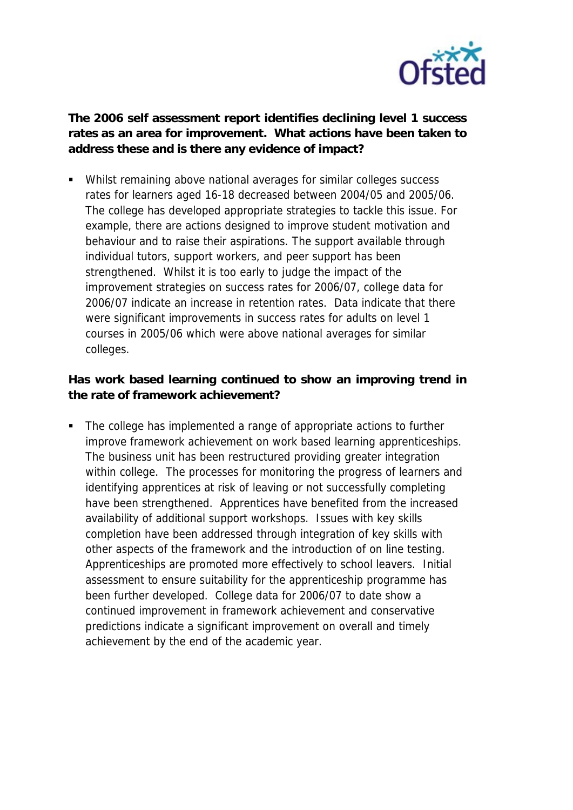

**The 2006 self assessment report identifies declining level 1 success rates as an area for improvement. What actions have been taken to address these and is there any evidence of impact?**

 Whilst remaining above national averages for similar colleges success rates for learners aged 16-18 decreased between 2004/05 and 2005/06. The college has developed appropriate strategies to tackle this issue. For example, there are actions designed to improve student motivation and behaviour and to raise their aspirations. The support available through individual tutors, support workers, and peer support has been strengthened. Whilst it is too early to judge the impact of the improvement strategies on success rates for 2006/07, college data for 2006/07 indicate an increase in retention rates. Data indicate that there were significant improvements in success rates for adults on level 1 courses in 2005/06 which were above national averages for similar colleges.

**Has work based learning continued to show an improving trend in the rate of framework achievement?**

• The college has implemented a range of appropriate actions to further improve framework achievement on work based learning apprenticeships. The business unit has been restructured providing greater integration within college. The processes for monitoring the progress of learners and identifying apprentices at risk of leaving or not successfully completing have been strengthened. Apprentices have benefited from the increased availability of additional support workshops. Issues with key skills completion have been addressed through integration of key skills with other aspects of the framework and the introduction of on line testing. Apprenticeships are promoted more effectively to school leavers. Initial assessment to ensure suitability for the apprenticeship programme has been further developed. College data for 2006/07 to date show a continued improvement in framework achievement and conservative predictions indicate a significant improvement on overall and timely achievement by the end of the academic year.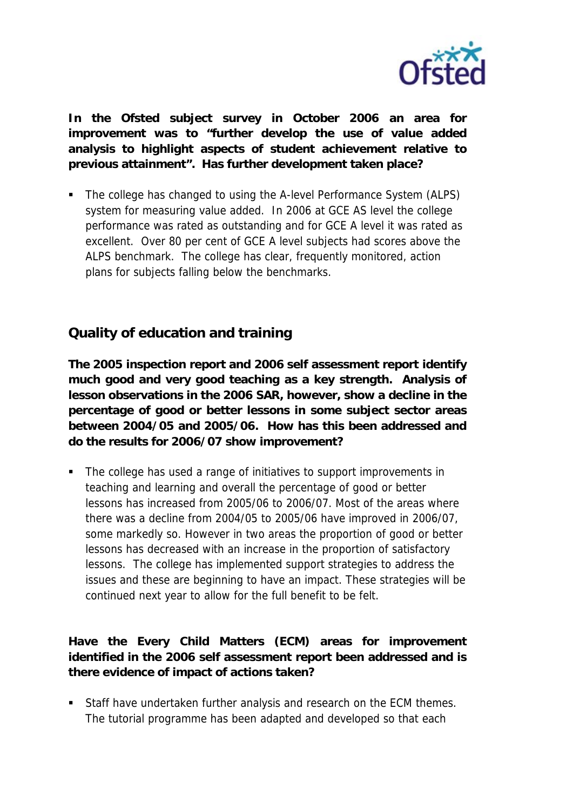

**In the Ofsted subject survey in October 2006 an area for improvement was to "further develop the use of value added analysis to highlight aspects of student achievement relative to previous attainment". Has further development taken place?**

• The college has changed to using the A-level Performance System (ALPS) system for measuring value added. In 2006 at GCE AS level the college performance was rated as outstanding and for GCE A level it was rated as excellent. Over 80 per cent of GCE A level subjects had scores above the ALPS benchmark. The college has clear, frequently monitored, action plans for subjects falling below the benchmarks.

## **Quality of education and training**

**The 2005 inspection report and 2006 self assessment report identify much good and very good teaching as a key strength. Analysis of lesson observations in the 2006 SAR, however, show a decline in the percentage of good or better lessons in some subject sector areas between 2004/05 and 2005/06. How has this been addressed and do the results for 2006/07 show improvement?**

 The college has used a range of initiatives to support improvements in teaching and learning and overall the percentage of good or better lessons has increased from 2005/06 to 2006/07. Most of the areas where there was a decline from 2004/05 to 2005/06 have improved in 2006/07, some markedly so. However in two areas the proportion of good or better lessons has decreased with an increase in the proportion of satisfactory lessons. The college has implemented support strategies to address the issues and these are beginning to have an impact. These strategies will be continued next year to allow for the full benefit to be felt.

**Have the Every Child Matters (ECM) areas for improvement identified in the 2006 self assessment report been addressed and is there evidence of impact of actions taken?**

Staff have undertaken further analysis and research on the ECM themes. The tutorial programme has been adapted and developed so that each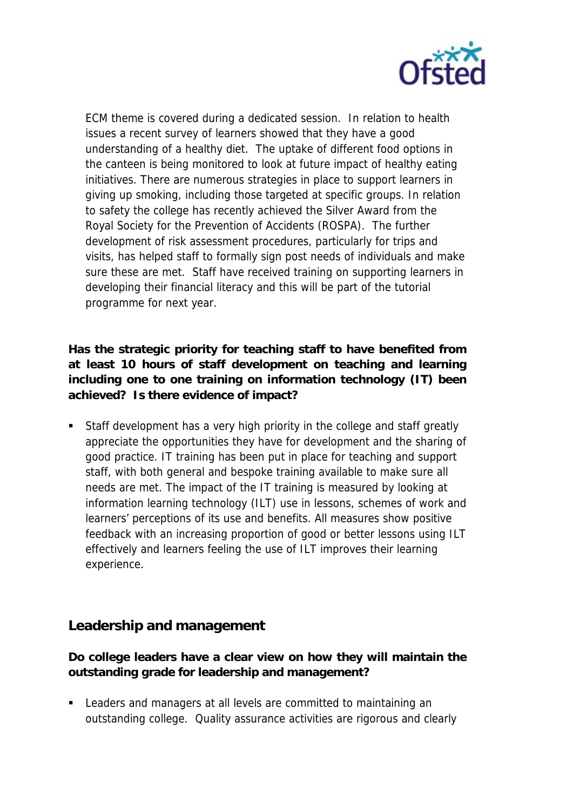

ECM theme is covered during a dedicated session. In relation to health issues a recent survey of learners showed that they have a good understanding of a healthy diet. The uptake of different food options in the canteen is being monitored to look at future impact of healthy eating initiatives. There are numerous strategies in place to support learners in giving up smoking, including those targeted at specific groups. In relation to safety the college has recently achieved the Silver Award from the Royal Society for the Prevention of Accidents (ROSPA). The further development of risk assessment procedures, particularly for trips and visits, has helped staff to formally sign post needs of individuals and make sure these are met. Staff have received training on supporting learners in developing their financial literacy and this will be part of the tutorial programme for next year.

**Has the strategic priority for teaching staff to have benefited from at least 10 hours of staff development on teaching and learning including one to one training on information technology (IT) been achieved? Is there evidence of impact?**

 Staff development has a very high priority in the college and staff greatly appreciate the opportunities they have for development and the sharing of good practice. IT training has been put in place for teaching and support staff, with both general and bespoke training available to make sure all needs are met. The impact of the IT training is measured by looking at information learning technology (ILT) use in lessons, schemes of work and learners' perceptions of its use and benefits. All measures show positive feedback with an increasing proportion of good or better lessons using ILT effectively and learners feeling the use of ILT improves their learning experience.

## **Leadership and management**

**Do college leaders have a clear view on how they will maintain the outstanding grade for leadership and management?**

 Leaders and managers at all levels are committed to maintaining an outstanding college. Quality assurance activities are rigorous and clearly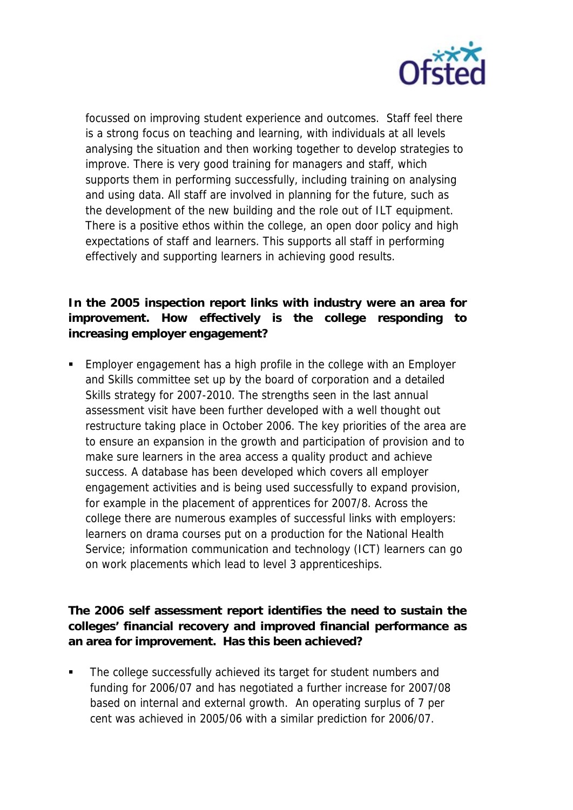

focussed on improving student experience and outcomes. Staff feel there is a strong focus on teaching and learning, with individuals at all levels analysing the situation and then working together to develop strategies to improve. There is very good training for managers and staff, which supports them in performing successfully, including training on analysing and using data. All staff are involved in planning for the future, such as the development of the new building and the role out of ILT equipment. There is a positive ethos within the college, an open door policy and high expectations of staff and learners. This supports all staff in performing effectively and supporting learners in achieving good results.

**In the 2005 inspection report links with industry were an area for improvement. How effectively is the college responding to increasing employer engagement?**

 Employer engagement has a high profile in the college with an Employer and Skills committee set up by the board of corporation and a detailed Skills strategy for 2007-2010. The strengths seen in the last annual assessment visit have been further developed with a well thought out restructure taking place in October 2006. The key priorities of the area are to ensure an expansion in the growth and participation of provision and to make sure learners in the area access a quality product and achieve success. A database has been developed which covers all employer engagement activities and is being used successfully to expand provision, for example in the placement of apprentices for 2007/8. Across the college there are numerous examples of successful links with employers: learners on drama courses put on a production for the National Health Service; information communication and technology (ICT) learners can go on work placements which lead to level 3 apprenticeships.

**The 2006 self assessment report identifies the need to sustain the colleges' financial recovery and improved financial performance as an area for improvement. Has this been achieved?**

 The college successfully achieved its target for student numbers and funding for 2006/07 and has negotiated a further increase for 2007/08 based on internal and external growth. An operating surplus of 7 per cent was achieved in 2005/06 with a similar prediction for 2006/07.